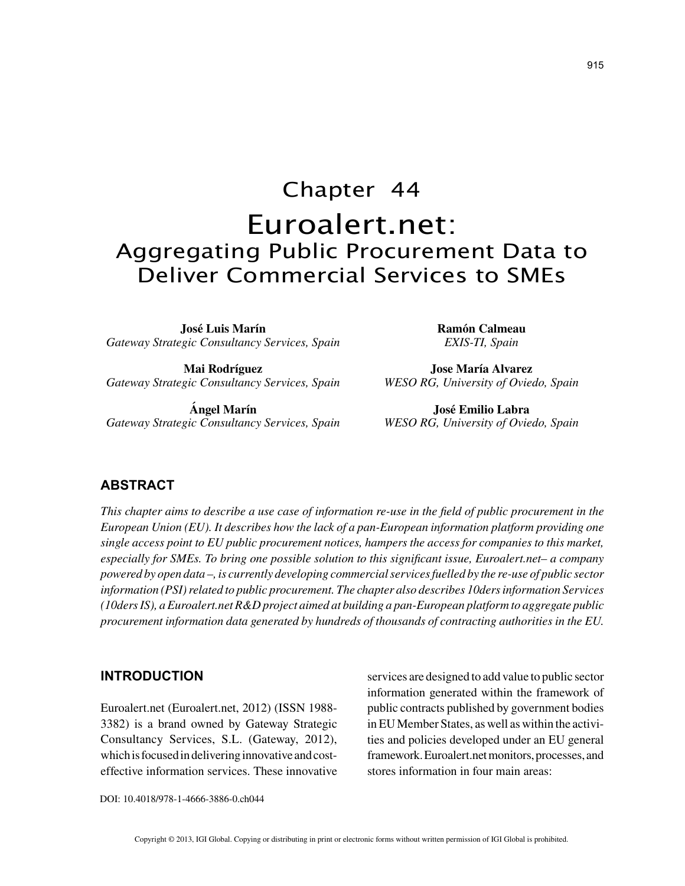# Chapter 44 Euroalert.net: Aggregating Public Procurement Data to Deliver Commercial Services to SMEs

**José Luis Marín** *Gateway Strategic Consultancy Services, Spain*

**Mai Rodríguez** *Gateway Strategic Consultancy Services, Spain*

**Ángel Marín** *Gateway Strategic Consultancy Services, Spain* **Ramón Calmeau** *EXIS-TI, Spain*

**Jose María Alvarez** *WESO RG, University of Oviedo, Spain*

**José Emilio Labra** *WESO RG, University of Oviedo, Spain*

## **ABSTRACT**

*This chapter aims to describe a use case of information re-use in the field of public procurement in the European Union (EU). It describes how the lack of a pan-European information platform providing one single access point to EU public procurement notices, hampers the access for companies to this market, especially for SMEs. To bring one possible solution to this significant issue, Euroalert.net– a company powered by open data –, is currently developing commercial services fuelled by the re-use of public sector information (PSI) related to public procurement. The chapter also describes 10ders information Services (10ders IS), a Euroalert.net R&D project aimed at building a pan-European platform to aggregate public procurement information data generated by hundreds of thousands of contracting authorities in the EU.*

#### **INTRODUCTION**

Euroalert.net (Euroalert.net, 2012) (ISSN 1988- 3382) is a brand owned by Gateway Strategic Consultancy Services, S.L. (Gateway, 2012), which is focused in delivering innovative and costeffective information services. These innovative services are designed to add value to public sector information generated within the framework of public contracts published by government bodies in EU Member States, as well as within the activities and policies developed under an EU general framework. Euroalert.net monitors, processes, and stores information in four main areas:

DOI: 10.4018/978-1-4666-3886-0.ch044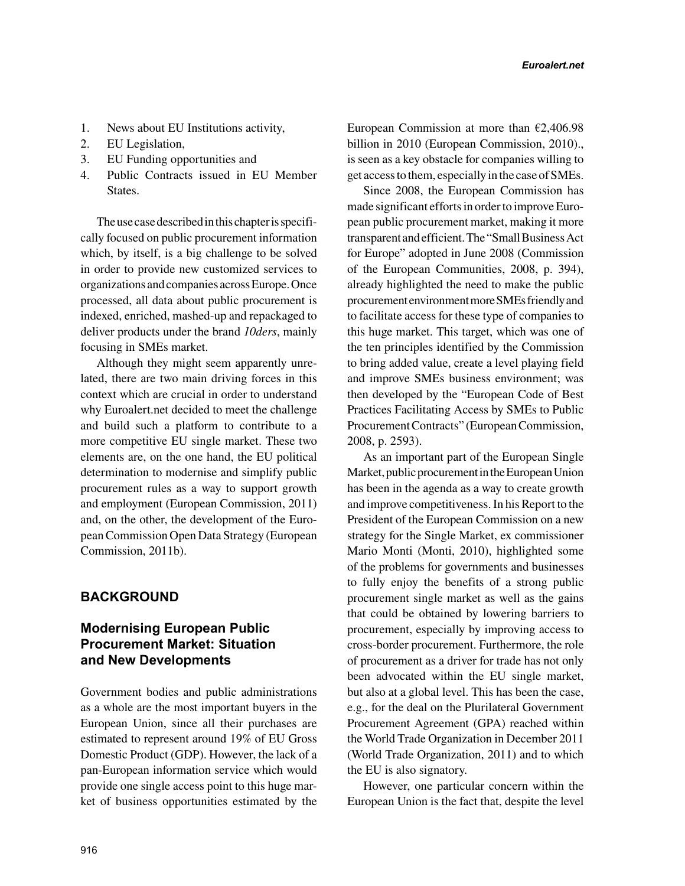- 1. News about EU Institutions activity,
- 2. EU Legislation,
- 3. EU Funding opportunities and
- 4. Public Contracts issued in EU Member States.

The use case described in this chapter is specifically focused on public procurement information which, by itself, is a big challenge to be solved in order to provide new customized services to organizations and companies across Europe. Once processed, all data about public procurement is indexed, enriched, mashed-up and repackaged to deliver products under the brand *10ders*, mainly focusing in SMEs market.

Although they might seem apparently unrelated, there are two main driving forces in this context which are crucial in order to understand why Euroalert.net decided to meet the challenge and build such a platform to contribute to a more competitive EU single market. These two elements are, on the one hand, the EU political determination to modernise and simplify public procurement rules as a way to support growth and employment (European Commission, 2011) and, on the other, the development of the European Commission Open Data Strategy (European Commission, 2011b).

# **BACKGROUND**

# **Modernising European Public Procurement Market: Situation and New Developments**

Government bodies and public administrations as a whole are the most important buyers in the European Union, since all their purchases are estimated to represent around 19% of EU Gross Domestic Product (GDP). However, the lack of a pan-European information service which would provide one single access point to this huge market of business opportunities estimated by the European Commission at more than  $\epsilon$ 2,406.98 billion in 2010 (European Commission, 2010)., is seen as a key obstacle for companies willing to get access to them, especially in the case of SMEs.

Since 2008, the European Commission has made significant efforts in order to improve European public procurement market, making it more transparent and efficient. The "Small Business Act for Europe" adopted in June 2008 (Commission of the European Communities, 2008, p. 394), already highlighted the need to make the public procurement environment more SMEs friendly and to facilitate access for these type of companies to this huge market. This target, which was one of the ten principles identified by the Commission to bring added value, create a level playing field and improve SMEs business environment; was then developed by the "European Code of Best Practices Facilitating Access by SMEs to Public Procurement Contracts" (European Commission, 2008, p. 2593).

As an important part of the European Single Market, public procurement in the European Union has been in the agenda as a way to create growth and improve competitiveness. In his Report to the President of the European Commission on a new strategy for the Single Market, ex commissioner Mario Monti (Monti, 2010), highlighted some of the problems for governments and businesses to fully enjoy the benefits of a strong public procurement single market as well as the gains that could be obtained by lowering barriers to procurement, especially by improving access to cross-border procurement. Furthermore, the role of procurement as a driver for trade has not only been advocated within the EU single market, but also at a global level. This has been the case, e.g., for the deal on the Plurilateral Government Procurement Agreement (GPA) reached within the World Trade Organization in December 2011 (World Trade Organization, 2011) and to which the EU is also signatory.

However, one particular concern within the European Union is the fact that, despite the level